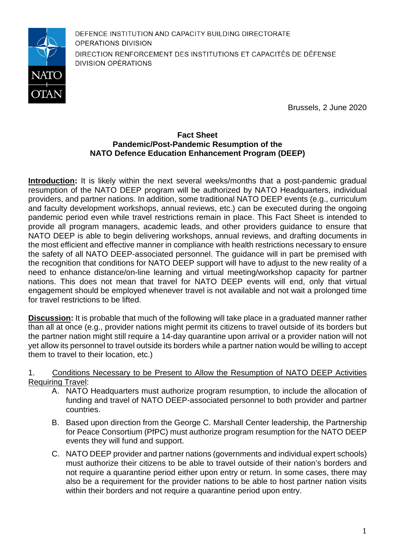

DEFENCE INSTITUTION AND CAPACITY BUILDING DIRECTORATE OPERATIONS DIVISION DIRECTION RENFORCEMENT DES INSTITUTIONS ET CAPACITÉS DE DÉFENSE **DIVISION OPÉRATIONS** 

Brussels, 2 June 2020

## **Fact Sheet Pandemic/Post-Pandemic Resumption of the NATO Defence Education Enhancement Program (DEEP)**

**Introduction:** It is likely within the next several weeks/months that a post-pandemic gradual resumption of the NATO DEEP program will be authorized by NATO Headquarters, individual providers, and partner nations. In addition, some traditional NATO DEEP events (e.g., curriculum and faculty development workshops, annual reviews, etc.) can be executed during the ongoing pandemic period even while travel restrictions remain in place. This Fact Sheet is intended to provide all program managers, academic leads, and other providers guidance to ensure that NATO DEEP is able to begin delivering workshops, annual reviews, and drafting documents in the most efficient and effective manner in compliance with health restrictions necessary to ensure the safety of all NATO DEEP-associated personnel. The guidance will in part be premised with the recognition that conditions for NATO DEEP support will have to adjust to the new reality of a need to enhance distance/on-line learning and virtual meeting/workshop capacity for partner nations. This does not mean that travel for NATO DEEP events will end, only that virtual engagement should be employed whenever travel is not available and not wait a prolonged time for travel restrictions to be lifted.

**Discussion:** It is probable that much of the following will take place in a graduated manner rather than all at once (e.g., provider nations might permit its citizens to travel outside of its borders but the partner nation might still require a 14-day quarantine upon arrival or a provider nation will not yet allow its personnel to travel outside its borders while a partner nation would be willing to accept them to travel to their location, etc.)

## 1. Conditions Necessary to be Present to Allow the Resumption of NATO DEEP Activities Requiring Travel:

- A. NATO Headquarters must authorize program resumption, to include the allocation of funding and travel of NATO DEEP-associated personnel to both provider and partner countries.
- B. Based upon direction from the George C. Marshall Center leadership, the Partnership for Peace Consortium (PfPC) must authorize program resumption for the NATO DEEP events they will fund and support.
- C. NATO DEEP provider and partner nations (governments and individual expert schools) must authorize their citizens to be able to travel outside of their nation's borders and not require a quarantine period either upon entry or return. In some cases, there may also be a requirement for the provider nations to be able to host partner nation visits within their borders and not require a quarantine period upon entry.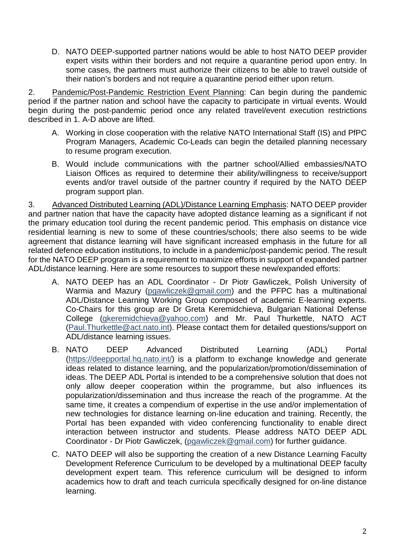D. NATO DEEP-supported partner nations would be able to host NATO DEEP provider expert visits within their borders and not require a quarantine period upon entry. In some cases, the partners must authorize their citizens to be able to travel outside of their nation's borders and not require a quarantine period either upon return.

2. Pandemic/Post-Pandemic Restriction Event Planning: Can begin during the pandemic period if the partner nation and school have the capacity to participate in virtual events. Would begin during the post-pandemic period once any related travel/event execution restrictions described in 1. A-D above are lifted.

- A. Working in close cooperation with the relative NATO International Staff (IS) and PfPC Program Managers, Academic Co-Leads can begin the detailed planning necessary to resume program execution.
- B. Would include communications with the partner school/Allied embassies/NATO Liaison Offices as required to determine their ability/willingness to receive/support events and/or travel outside of the partner country if required by the NATO DEEP program support plan.

3. Advanced Distributed Learning (ADL)/Distance Learning Emphasis: NATO DEEP provider and partner nation that have the capacity have adopted distance learning as a significant if not the primary education tool during the recent pandemic period. This emphasis on distance vice residential learning is new to some of these countries/schools; there also seems to be wide agreement that distance learning will have significant increased emphasis in the future for all related defence education institutions, to include in a pandemic/post-pandemic period. The result for the NATO DEEP program is a requirement to maximize efforts in support of expanded partner ADL/distance learning. Here are some resources to support these new/expanded efforts:

- A. NATO DEEP has an ADL Coordinator Dr Piotr Gawliczek, Polish University of Warmia and Mazury [\(pgawliczek@gmail.com\)](mailto:pgawliczek@gmail.com) and the PFPC has a multinational ADL/Distance Learning Working Group composed of academic E-learning experts. Co-Chairs for this group are Dr Greta Keremidchieva, Bulgarian National Defense College [\(gkeremidchieva@yahoo.com\)](mailto:gkeremidchieva@yahoo.com) and Mr. Paul Thurkettle, NATO ACT [\(Paul.Thurkettle@act.nato.int\)](mailto:Paul.Thurkettle@act.nato.int). Please contact them for detailed questions/support on ADL/distance learning issues.
- B. NATO DEEP Advanced Distributed Learning (ADL) Portal [\(https://deepportal.hq.nato.int/\)](https://deepportal.hq.nato.int/) is a platform to exchange knowledge and generate ideas related to distance learning, and the popularization/promotion/dissemination of ideas. The DEEP ADL Portal is intended to be a comprehensive solution that does not only allow deeper cooperation within the programme, but also influences its popularization/dissemination and thus increase the reach of the programme. At the same time, it creates a compendium of expertise in the use and/or implementation of new technologies for distance learning on-line education and training. Recently, the Portal has been expanded with video conferencing functionality to enable direct interaction between instructor and students. Please address NATO DEEP ADL Coordinator - Dr Piotr Gawliczek, [\(pgawliczek@gmail.com\)](mailto:pgawliczek@gmail.com) for further guidance.
- C. NATO DEEP will also be supporting the creation of a new Distance Learning Faculty Development Reference Curriculum to be developed by a multinational DEEP faculty development expert team. This reference curriculum will be designed to inform academics how to draft and teach curricula specifically designed for on-line distance learning.